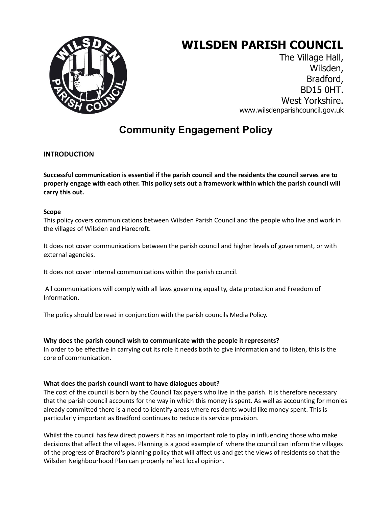# **WILSDEN PARISH COUNCIL**



The Village Hall, Wilsden, Bradford, BD15 0HT. West Yorkshire. www.wilsdenparishcouncil.gov.uk

# **Community Engagement Policy**

## **INTRODUCTION**

**Successful communication is essential if the parish council and the residents the council serves are to properly engage with each other. This policy sets out a framework within which the parish council will carry this out.**

#### **Scope**

This policy covers communications between Wilsden Parish Council and the people who live and work in the villages of Wilsden and Harecroft.

It does not cover communications between the parish council and higher levels of government, or with external agencies.

It does not cover internal communications within the parish council.

All communications will comply with all laws governing equality, data protection and Freedom of Information.

The policy should be read in conjunction with the parish councils Media Policy.

#### **Why does the parish council wish to communicate with the people it represents?**

In order to be effective in carrying out its role it needs both to give information and to listen, this is the core of communication.

#### **What does the parish council want to have dialogues about?**

The cost of the council is born by the Council Tax payers who live in the parish. It is therefore necessary that the parish council accounts for the way in which this money is spent. As well as accounting for monies already committed there is a need to identify areas where residents would like money spent. This is particularly important as Bradford continues to reduce its service provision.

Whilst the council has few direct powers it has an important role to play in influencing those who make decisions that affect the villages. Planning is a good example of where the council can inform the villages of the progress of Bradford's planning policy that will affect us and get the views of residents so that the Wilsden Neighbourhood Plan can properly reflect local opinion.